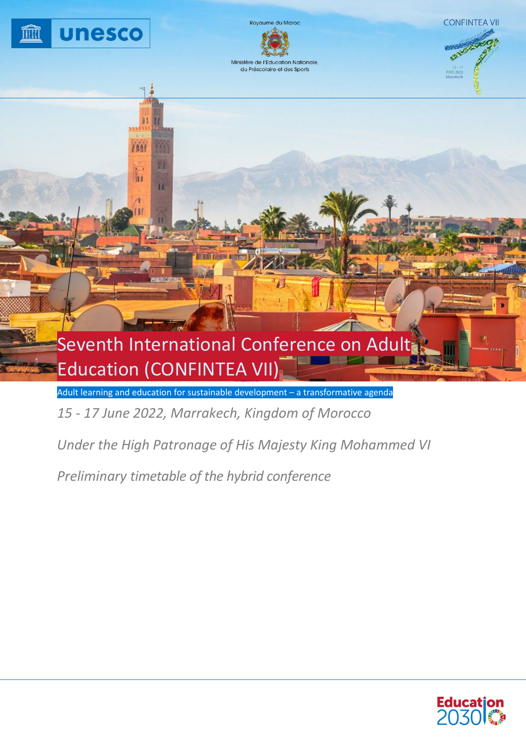

Adult learning and education for sustainable development – a transformative agenda

*15 - 17 June 2022, Marrakech, Kingdom of Morocco*

*Under the High Patronage of His Majesty King Mohammed VI*

*Preliminary timetable of the hybrid conference*

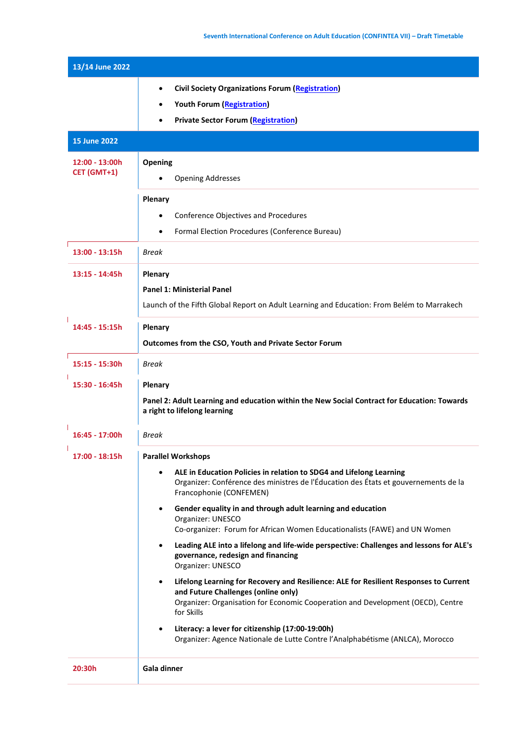| 13/14 June 2022                 |                                                                                                                                                                                                                                                                                                                                                                                                                                                                                                          |
|---------------------------------|----------------------------------------------------------------------------------------------------------------------------------------------------------------------------------------------------------------------------------------------------------------------------------------------------------------------------------------------------------------------------------------------------------------------------------------------------------------------------------------------------------|
|                                 | <b>Civil Society Organizations Forum (Registration)</b><br>$\bullet$<br><b>Youth Forum (Registration)</b><br><b>Private Sector Forum (Registration)</b>                                                                                                                                                                                                                                                                                                                                                  |
| <b>15 June 2022</b>             |                                                                                                                                                                                                                                                                                                                                                                                                                                                                                                          |
| $12:00 - 13:00h$<br>CET (GMT+1) | Opening<br><b>Opening Addresses</b><br>Plenary<br>Conference Objectives and Procedures<br>Formal Election Procedures (Conference Bureau)<br>$\bullet$                                                                                                                                                                                                                                                                                                                                                    |
| $13:00 - 13:15h$                | <b>Break</b>                                                                                                                                                                                                                                                                                                                                                                                                                                                                                             |
| $13:15 - 14:45h$                | Plenary<br><b>Panel 1: Ministerial Panel</b><br>Launch of the Fifth Global Report on Adult Learning and Education: From Belém to Marrakech                                                                                                                                                                                                                                                                                                                                                               |
| 14:45 - 15:15h                  | Plenary<br>Outcomes from the CSO, Youth and Private Sector Forum                                                                                                                                                                                                                                                                                                                                                                                                                                         |
| 15:15 - 15:30h                  | <b>Break</b>                                                                                                                                                                                                                                                                                                                                                                                                                                                                                             |
| 15:30 - 16:45h                  | Plenary<br>Panel 2: Adult Learning and education within the New Social Contract for Education: Towards<br>a right to lifelong learning                                                                                                                                                                                                                                                                                                                                                                   |
| 16:45 - 17:00h                  | Break                                                                                                                                                                                                                                                                                                                                                                                                                                                                                                    |
| 17:00 - 18:15h                  | <b>Parallel Workshops</b><br>ALE in Education Policies in relation to SDG4 and Lifelong Learning<br>Organizer: Conférence des ministres de l'Éducation des États et gouvernements de la<br>Francophonie (CONFEMEN)<br>Gender equality in and through adult learning and education<br>$\bullet$<br>Organizer: UNESCO<br>Co-organizer: Forum for African Women Educationalists (FAWE) and UN Women<br>Leading ALE into a lifelong and life-wide perspective: Challenges and lessons for ALE's<br>$\bullet$ |
|                                 | governance, redesign and financing<br>Organizer: UNESCO                                                                                                                                                                                                                                                                                                                                                                                                                                                  |
|                                 | Lifelong Learning for Recovery and Resilience: ALE for Resilient Responses to Current<br>$\bullet$<br>and Future Challenges (online only)<br>Organizer: Organisation for Economic Cooperation and Development (OECD), Centre<br>for Skills<br>Literacy: a lever for citizenship (17:00-19:00h)<br>$\bullet$                                                                                                                                                                                              |
| 20:30h                          | Organizer: Agence Nationale de Lutte Contre l'Analphabétisme (ANLCA), Morocco<br>Gala dinner                                                                                                                                                                                                                                                                                                                                                                                                             |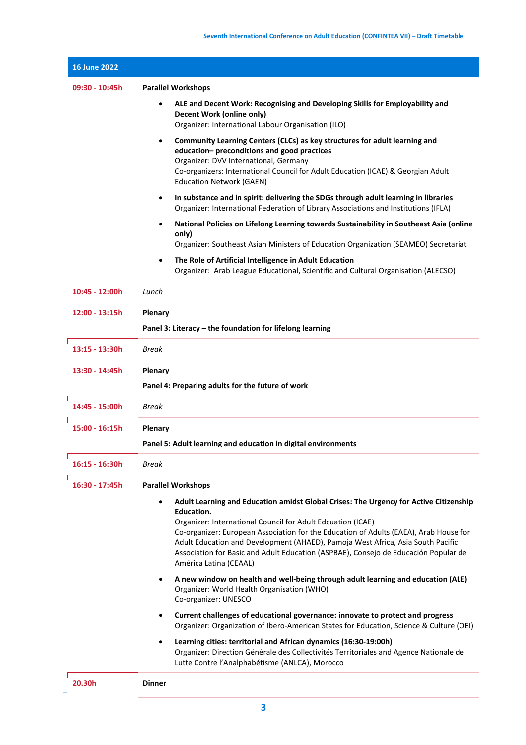| <b>16 June 2022</b> |                                                                                                                                                                                                                                                                                                                                                                                                                                                                             |
|---------------------|-----------------------------------------------------------------------------------------------------------------------------------------------------------------------------------------------------------------------------------------------------------------------------------------------------------------------------------------------------------------------------------------------------------------------------------------------------------------------------|
| 09:30 - 10:45h      | <b>Parallel Workshops</b>                                                                                                                                                                                                                                                                                                                                                                                                                                                   |
|                     | ALE and Decent Work: Recognising and Developing Skills for Employability and<br>٠<br><b>Decent Work (online only)</b><br>Organizer: International Labour Organisation (ILO)                                                                                                                                                                                                                                                                                                 |
|                     | Community Learning Centers (CLCs) as key structures for adult learning and<br>$\bullet$<br>education- preconditions and good practices<br>Organizer: DVV International, Germany<br>Co-organizers: International Council for Adult Education (ICAE) & Georgian Adult<br><b>Education Network (GAEN)</b>                                                                                                                                                                      |
|                     | In substance and in spirit: delivering the SDGs through adult learning in libraries<br>$\bullet$<br>Organizer: International Federation of Library Associations and Institutions (IFLA)                                                                                                                                                                                                                                                                                     |
|                     | National Policies on Lifelong Learning towards Sustainability in Southeast Asia (online<br>$\bullet$<br>only)<br>Organizer: Southeast Asian Ministers of Education Organization (SEAMEO) Secretariat                                                                                                                                                                                                                                                                        |
|                     | The Role of Artificial Intelligence in Adult Education<br>$\bullet$<br>Organizer: Arab League Educational, Scientific and Cultural Organisation (ALECSO)                                                                                                                                                                                                                                                                                                                    |
| 10:45 - 12:00h      | Lunch                                                                                                                                                                                                                                                                                                                                                                                                                                                                       |
| 12:00 - 13:15h      | Plenary<br>Panel 3: Literacy - the foundation for lifelong learning                                                                                                                                                                                                                                                                                                                                                                                                         |
| 13:15 - 13:30h      | <b>Break</b>                                                                                                                                                                                                                                                                                                                                                                                                                                                                |
| 13:30 - 14:45h      | Plenary<br>Panel 4: Preparing adults for the future of work                                                                                                                                                                                                                                                                                                                                                                                                                 |
| 14:45 - 15:00h      | Break                                                                                                                                                                                                                                                                                                                                                                                                                                                                       |
| 15:00 - 16:15h      | Plenary<br>Panel 5: Adult learning and education in digital environments                                                                                                                                                                                                                                                                                                                                                                                                    |
| 16:15 - 16:30h      | Break                                                                                                                                                                                                                                                                                                                                                                                                                                                                       |
| 16:30 - 17:45h      | <b>Parallel Workshops</b>                                                                                                                                                                                                                                                                                                                                                                                                                                                   |
|                     | Adult Learning and Education amidst Global Crises: The Urgency for Active Citizenship<br>٠<br><b>Education.</b><br>Organizer: International Council for Adult Edcuation (ICAE)<br>Co-organizer: European Association for the Education of Adults (EAEA), Arab House for<br>Adult Education and Development (AHAED), Pamoja West Africa, Asia South Pacific<br>Association for Basic and Adult Education (ASPBAE), Consejo de Educación Popular de<br>América Latina (CEAAL) |
|                     | A new window on health and well-being through adult learning and education (ALE)<br>٠<br>Organizer: World Health Organisation (WHO)<br>Co-organizer: UNESCO                                                                                                                                                                                                                                                                                                                 |
|                     | Current challenges of educational governance: innovate to protect and progress<br>$\bullet$<br>Organizer: Organization of Ibero-American States for Education, Science & Culture (OEI)                                                                                                                                                                                                                                                                                      |
|                     | Learning cities: territorial and African dynamics (16:30-19:00h)<br>$\bullet$<br>Organizer: Direction Générale des Collectivités Territoriales and Agence Nationale de<br>Lutte Contre l'Analphabétisme (ANLCA), Morocco                                                                                                                                                                                                                                                    |
| 20.30h              | <b>Dinner</b>                                                                                                                                                                                                                                                                                                                                                                                                                                                               |